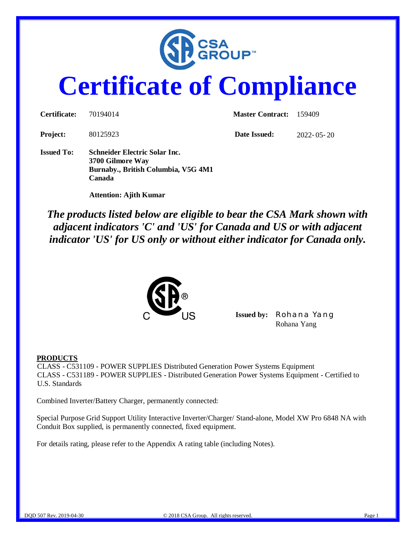

# **Certificate of Compliance**

| Certificate:      | 70194014                                                                                                  | <b>Master Contract:</b> | - 159409         |
|-------------------|-----------------------------------------------------------------------------------------------------------|-------------------------|------------------|
| <b>Project:</b>   | 80125923                                                                                                  | Date Issued:            | $2022 - 05 - 20$ |
| <b>Issued To:</b> | <b>Schneider Electric Solar Inc.</b><br>3700 Gilmore Way<br>Burnaby., British Columbia, V5G 4M1<br>Canada |                         |                  |

 **Attention: Ajith Kumar**

*The products listed below are eligible to bear the CSA Mark shown with adjacent indicators 'C' and 'US' for Canada and US or with adjacent indicator 'US' for US only or without either indicator for Canada only.*



**Issued by:** *Rohana Yang* Rohana Yang

#### **PRODUCTS**

CLASS - C531109 - POWER SUPPLIES Distributed Generation Power Systems Equipment CLASS - C531189 - POWER SUPPLIES - Distributed Generation Power Systems Equipment - Certified to U.S. Standards

Combined Inverter/Battery Charger, permanently connected:

Special Purpose Grid Support Utility Interactive Inverter/Charger/ Stand-alone, Model XW Pro 6848 NA with Conduit Box supplied, is permanently connected, fixed equipment.

For details rating, please refer to the Appendix A rating table (including Notes).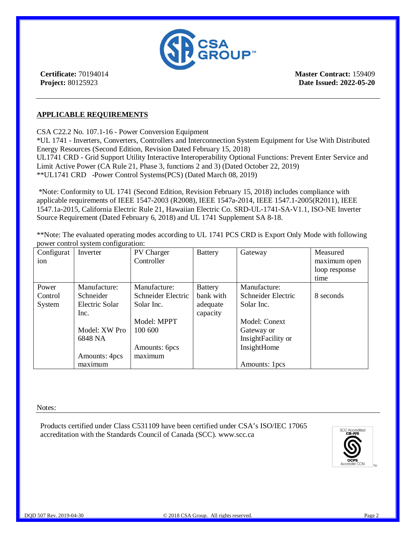

**Certificate:** 70194014 **Project:** 80125923

**Master Contract:** 159409 **Date Issued: 2022-05-20**

### **APPLICABLE REQUIREMENTS**

CSA C22.2 No. 107.1-16 - Power Conversion Equipment

\*UL 1741 - Inverters, Converters, Controllers and Interconnection System Equipment for Use With Distributed Energy Resources (Second Edition, Revision Dated February 15, 2018) UL1741 CRD - Grid Support Utility Interactive Interoperability Optional Functions: Prevent Enter Service and Limit Active Power (CA Rule 21, Phase 3, functions 2 and 3) (Dated October 22, 2019) \*\*UL1741 CRD -Power Control Systems(PCS) (Dated March 08, 2019)

 \*Note: Conformity to UL 1741 (Second Edition, Revision February 15, 2018) includes compliance with applicable requirements of IEEE 1547-2003 (R2008), IEEE 1547a-2014, IEEE 1547.1-2005(R2011), IEEE 1547.1a-2015, California Electric Rule 21, Hawaiian Electric Co. SRD-UL-1741-SA-V1.1, ISO-NE Inverter Source Requirement (Dated February 6, 2018) and UL 1741 Supplement SA 8-18.

\*\*Note: The evaluated operating modes according to UL 1741 PCS CRD is Export Only Mode with following power control system configuration:

| Configurat | Inverter       | <b>PV</b> Charger  | <b>Battery</b> | Gateway            | Measured      |
|------------|----------------|--------------------|----------------|--------------------|---------------|
| ion        |                | Controller         |                |                    | maximum open  |
|            |                |                    |                |                    | loop response |
|            |                |                    |                |                    | time          |
| Power      | Manufacture:   | Manufacture:       | <b>Battery</b> | Manufacture:       |               |
| Control    | Schneider      | Schneider Electric | bank with      | Schneider Electric | 8 seconds     |
| System     | Electric Solar | Solar Inc.         | adequate       | Solar Inc.         |               |
|            | Inc.           |                    | capacity       |                    |               |
|            |                | Model: MPPT        |                | Model: Conext      |               |
|            | Model: XW Pro  | 100 600            |                | Gateway or         |               |
|            | 6848 NA        |                    |                | InsightFacility or |               |
|            |                | Amounts: 6pcs      |                | InsightHome        |               |
|            | Amounts: 4pcs  | maximum            |                |                    |               |
|            | maximum        |                    |                | Amounts: 1pcs      |               |

Notes:

Products certified under Class C531109 have been certified under CSA's ISO/IEC 17065 accreditation with the Standards Council of Canada (SCC). www.scc.ca

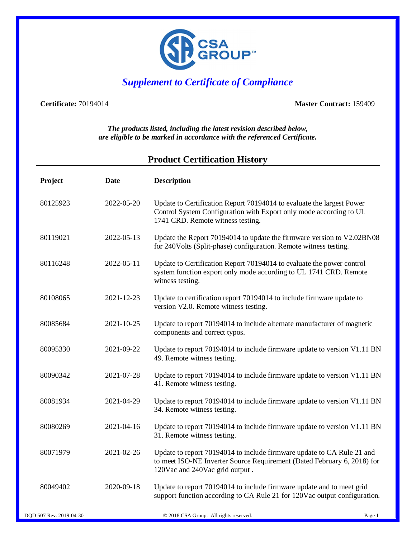

# *Supplement to Certificate of Compliance*

**Certificate:** 70194014 **Master Contract:** 159409

*The products listed, including the latest revision described below, are eligible to be marked in accordance with the referenced Certificate.*

## **Product Certification History**

| Project  | <b>Date</b> | <b>Description</b>                                                                                                                                                                  |
|----------|-------------|-------------------------------------------------------------------------------------------------------------------------------------------------------------------------------------|
| 80125923 | 2022-05-20  | Update to Certification Report 70194014 to evaluate the largest Power<br>Control System Configuration with Export only mode according to UL<br>1741 CRD. Remote witness testing.    |
| 80119021 | 2022-05-13  | Update the Report 70194014 to update the firmware version to V2.02BN08<br>for 240Volts (Split-phase) configuration. Remote witness testing.                                         |
| 80116248 | 2022-05-11  | Update to Certification Report 70194014 to evaluate the power control<br>system function export only mode according to UL 1741 CRD. Remote<br>witness testing.                      |
| 80108065 | 2021-12-23  | Update to certification report 70194014 to include firmware update to<br>version V2.0. Remote witness testing.                                                                      |
| 80085684 | 2021-10-25  | Update to report 70194014 to include alternate manufacturer of magnetic<br>components and correct typos.                                                                            |
| 80095330 | 2021-09-22  | Update to report 70194014 to include firmware update to version V1.11 BN<br>49. Remote witness testing.                                                                             |
| 80090342 | 2021-07-28  | Update to report 70194014 to include firmware update to version V1.11 BN<br>41. Remote witness testing.                                                                             |
| 80081934 | 2021-04-29  | Update to report 70194014 to include firmware update to version V1.11 BN<br>34. Remote witness testing.                                                                             |
| 80080269 | 2021-04-16  | Update to report 70194014 to include firmware update to version V1.11 BN<br>31. Remote witness testing.                                                                             |
| 80071979 | 2021-02-26  | Update to report 70194014 to include firmware update to CA Rule 21 and<br>to meet ISO-NE Inverter Source Requirement (Dated February 6, 2018) for<br>120Vac and 240Vac grid output. |
| 80049402 | 2020-09-18  | Update to report 70194014 to include firmware update and to meet grid<br>support function according to CA Rule 21 for 120Vac output configuration.                                  |